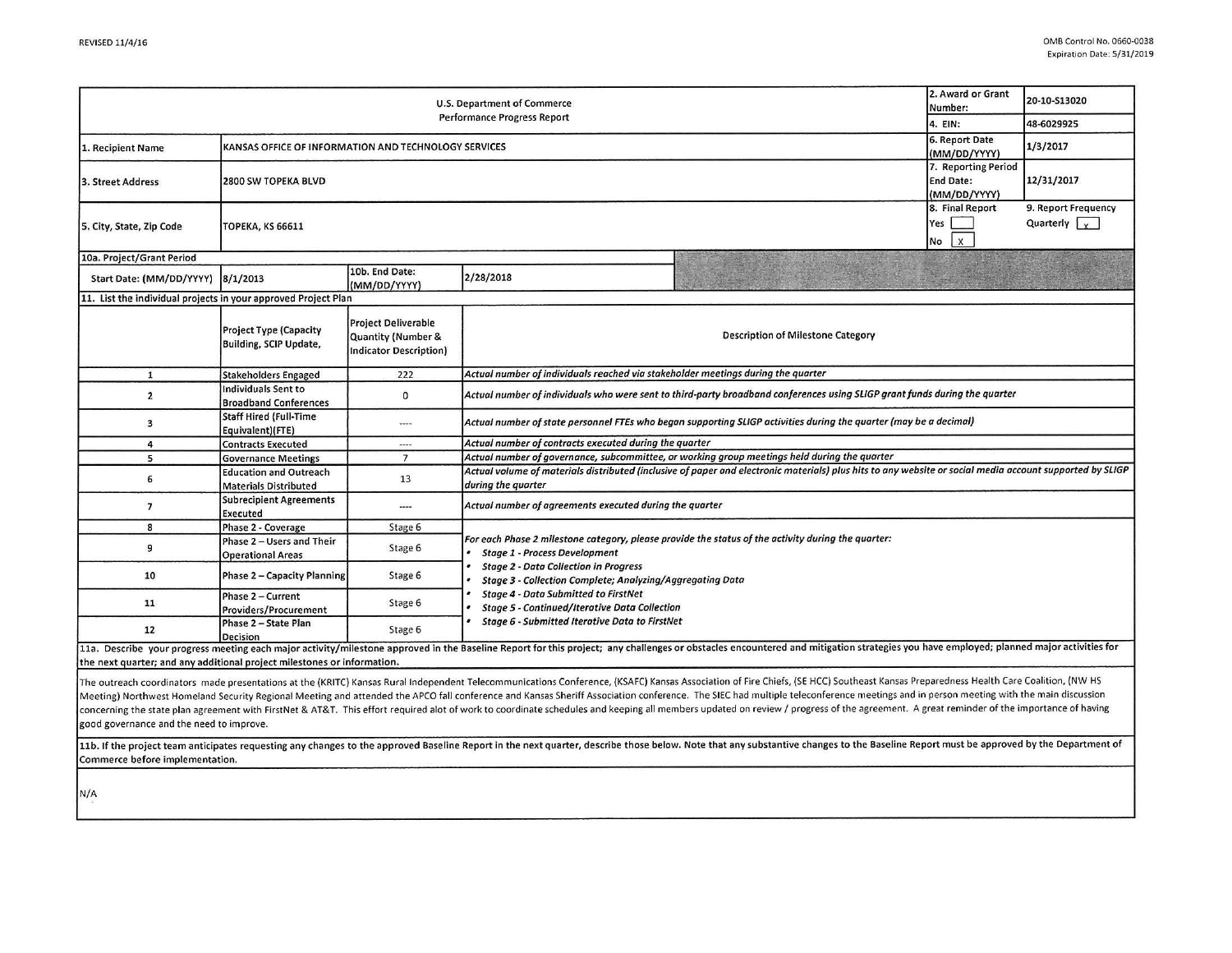|                                                                         |                                                                |                                                                                              |                                                                                                                                                                                                                                                                                                                                                                                                                  |                                                                                                                                                                                                                                                                                                                                                                                                                                                                                                                                                                                                                                                                                                   | 2. Award or Grant                                       |                                                      |  |  |  |
|-------------------------------------------------------------------------|----------------------------------------------------------------|----------------------------------------------------------------------------------------------|------------------------------------------------------------------------------------------------------------------------------------------------------------------------------------------------------------------------------------------------------------------------------------------------------------------------------------------------------------------------------------------------------------------|---------------------------------------------------------------------------------------------------------------------------------------------------------------------------------------------------------------------------------------------------------------------------------------------------------------------------------------------------------------------------------------------------------------------------------------------------------------------------------------------------------------------------------------------------------------------------------------------------------------------------------------------------------------------------------------------------|---------------------------------------------------------|------------------------------------------------------|--|--|--|
| U.S. Department of Commerce<br><b>Performance Progress Report</b>       |                                                                |                                                                                              |                                                                                                                                                                                                                                                                                                                                                                                                                  |                                                                                                                                                                                                                                                                                                                                                                                                                                                                                                                                                                                                                                                                                                   |                                                         | 20-10-S13020                                         |  |  |  |
|                                                                         | 4. EIN:                                                        | 48-6029925                                                                                   |                                                                                                                                                                                                                                                                                                                                                                                                                  |                                                                                                                                                                                                                                                                                                                                                                                                                                                                                                                                                                                                                                                                                                   |                                                         |                                                      |  |  |  |
| 1. Recipient Name                                                       | KANSAS OFFICE OF INFORMATION AND TECHNOLOGY SERVICES           |                                                                                              |                                                                                                                                                                                                                                                                                                                                                                                                                  |                                                                                                                                                                                                                                                                                                                                                                                                                                                                                                                                                                                                                                                                                                   |                                                         | 1/3/2017                                             |  |  |  |
| 3. Street Address                                                       | 2800 SW TOPEKA BLVD                                            |                                                                                              |                                                                                                                                                                                                                                                                                                                                                                                                                  |                                                                                                                                                                                                                                                                                                                                                                                                                                                                                                                                                                                                                                                                                                   | 7. Reporting Period<br><b>End Date:</b><br>(MM/DD/YYYY) | 12/31/2017                                           |  |  |  |
| 5. City, State, Zip Code                                                | <b>ТОРЕКА, КЅ 66611</b>                                        |                                                                                              |                                                                                                                                                                                                                                                                                                                                                                                                                  |                                                                                                                                                                                                                                                                                                                                                                                                                                                                                                                                                                                                                                                                                                   | 8. Final Report<br>Yes<br>$\mathsf{x}$<br>No            | 9. Report Frequency<br>Quarterly $\vert \cdot \vert$ |  |  |  |
| 10a. Project/Grant Period                                               |                                                                |                                                                                              |                                                                                                                                                                                                                                                                                                                                                                                                                  |                                                                                                                                                                                                                                                                                                                                                                                                                                                                                                                                                                                                                                                                                                   |                                                         |                                                      |  |  |  |
| Start Date: (MM/DD/YYYY)                                                | 8/1/2013                                                       | 10b. End Date:<br>(MM/DD/YYYY)                                                               | 2/28/2018                                                                                                                                                                                                                                                                                                                                                                                                        |                                                                                                                                                                                                                                                                                                                                                                                                                                                                                                                                                                                                                                                                                                   |                                                         |                                                      |  |  |  |
|                                                                         | 11. List the individual projects in your approved Project Plan |                                                                                              |                                                                                                                                                                                                                                                                                                                                                                                                                  |                                                                                                                                                                                                                                                                                                                                                                                                                                                                                                                                                                                                                                                                                                   |                                                         |                                                      |  |  |  |
|                                                                         | <b>Project Type (Capacity</b><br>Building, SCIP Update,        | <b>Project Deliverable</b><br><b>Quantity (Number &amp;</b><br><b>Indicator Description)</b> | Description of Milestone Category                                                                                                                                                                                                                                                                                                                                                                                |                                                                                                                                                                                                                                                                                                                                                                                                                                                                                                                                                                                                                                                                                                   |                                                         |                                                      |  |  |  |
| $\mathbf{1}$                                                            | <b>Stakeholders Engaged</b>                                    | 222                                                                                          | Actual number of individuals reached via stakeholder meetings during the quarter                                                                                                                                                                                                                                                                                                                                 |                                                                                                                                                                                                                                                                                                                                                                                                                                                                                                                                                                                                                                                                                                   |                                                         |                                                      |  |  |  |
| $\overline{2}$                                                          | <b>Individuals Sent to</b><br><b>Broadband Conferences</b>     | $\mathbf 0$                                                                                  | Actual number of individuals who were sent to third-party broadband conferences using SLIGP grant funds during the quarter                                                                                                                                                                                                                                                                                       |                                                                                                                                                                                                                                                                                                                                                                                                                                                                                                                                                                                                                                                                                                   |                                                         |                                                      |  |  |  |
| 3                                                                       | <b>Staff Hired (Full-Time</b><br>Equivalent)(FTE)              | ----                                                                                         | Actual number of state personnel FTEs who began supporting SLIGP activities during the quarter (may be a decimal)                                                                                                                                                                                                                                                                                                |                                                                                                                                                                                                                                                                                                                                                                                                                                                                                                                                                                                                                                                                                                   |                                                         |                                                      |  |  |  |
| $\overline{4}$                                                          | <b>Contracts Executed</b>                                      | $\cdots$                                                                                     | Actual number of contracts executed during the quarter                                                                                                                                                                                                                                                                                                                                                           |                                                                                                                                                                                                                                                                                                                                                                                                                                                                                                                                                                                                                                                                                                   |                                                         |                                                      |  |  |  |
| 5                                                                       | <b>Governance Meetings</b>                                     | 7                                                                                            | Actual number of governance, subcommittee, or working group meetings held during the quarter                                                                                                                                                                                                                                                                                                                     |                                                                                                                                                                                                                                                                                                                                                                                                                                                                                                                                                                                                                                                                                                   |                                                         |                                                      |  |  |  |
| 6                                                                       | <b>Education and Outreach</b><br><b>Materials Distributed</b>  | 13                                                                                           | Actual volume of materials distributed (inclusive of paper and electronic materials) plus hits to any website or social media account supported by SLIGP<br>during the quarter                                                                                                                                                                                                                                   |                                                                                                                                                                                                                                                                                                                                                                                                                                                                                                                                                                                                                                                                                                   |                                                         |                                                      |  |  |  |
| $\overline{\phantom{a}}$                                                | <b>Subrecipient Agreements</b><br>Executed                     | ----                                                                                         | Actual number of agreements executed during the quarter                                                                                                                                                                                                                                                                                                                                                          |                                                                                                                                                                                                                                                                                                                                                                                                                                                                                                                                                                                                                                                                                                   |                                                         |                                                      |  |  |  |
| 8                                                                       | Phase 2 - Coverage                                             | Stage 6                                                                                      |                                                                                                                                                                                                                                                                                                                                                                                                                  |                                                                                                                                                                                                                                                                                                                                                                                                                                                                                                                                                                                                                                                                                                   |                                                         |                                                      |  |  |  |
| 9                                                                       | Phase 2 - Users and Their<br><b>Operational Areas</b>          | Stage 6                                                                                      | For each Phase 2 milestone category, please provide the status of the activity during the quarter:<br><b>Stage 1 - Process Development</b><br><b>Stage 2 - Data Collection in Progress</b><br>Stage 3 - Collection Complete; Analyzing/Aggregating Data<br><b>Stage 4 - Data Submitted to FirstNet</b><br><b>Stage 5 - Continued/Iterative Data Collection</b><br>Stage 6 - Submitted Iterative Data to FirstNet |                                                                                                                                                                                                                                                                                                                                                                                                                                                                                                                                                                                                                                                                                                   |                                                         |                                                      |  |  |  |
| 10                                                                      | Phase 2 - Capacity Planning                                    | Stage 6                                                                                      |                                                                                                                                                                                                                                                                                                                                                                                                                  |                                                                                                                                                                                                                                                                                                                                                                                                                                                                                                                                                                                                                                                                                                   |                                                         |                                                      |  |  |  |
| 11                                                                      | Phase 2 - Current<br>Providers/Procurement                     | Stage 6                                                                                      |                                                                                                                                                                                                                                                                                                                                                                                                                  |                                                                                                                                                                                                                                                                                                                                                                                                                                                                                                                                                                                                                                                                                                   |                                                         |                                                      |  |  |  |
| 12                                                                      | Phase 2 - State Plan<br>Decision                               | Stage 6                                                                                      |                                                                                                                                                                                                                                                                                                                                                                                                                  |                                                                                                                                                                                                                                                                                                                                                                                                                                                                                                                                                                                                                                                                                                   |                                                         |                                                      |  |  |  |
| the next quarter; and any additional project milestones or information. |                                                                |                                                                                              |                                                                                                                                                                                                                                                                                                                                                                                                                  | 11a. Describe your progress meeting each major activity/milestone approved in the Baseline Report for this project; any challenges or obstacles encountered and mitigation strategies you have employed; planned major activit                                                                                                                                                                                                                                                                                                                                                                                                                                                                    |                                                         |                                                      |  |  |  |
| good governance and the need to improve.                                |                                                                |                                                                                              |                                                                                                                                                                                                                                                                                                                                                                                                                  | The outreach coordinators made presentations at the (KRITC) Kansas Rural Independent Telecommunications Conference, (KSAFC) Kansas Association of Fire Chiefs, (SE HCC) Southeast Kansas Preparedness Health Care Coalition, (<br>Meeting) Northwest Homeland Security Regional Meeting and attended the APCO fall conference and Kansas Sheriff Association conference. The SIEC had multiple teleconference meetings and in person meeting with the main discu<br>concerning the state plan agreement with FirstNet & AT&T. This effort required alot of work to coordinate schedules and keeping all members updated on review / progress of the agreement. A great reminder of the importance |                                                         |                                                      |  |  |  |
| Commerce before implementation.                                         |                                                                |                                                                                              |                                                                                                                                                                                                                                                                                                                                                                                                                  | 11b. If the project team anticipates requesting any changes to the approved Baseline Report in the next quarter, describe those below. Note that any substantive changes to the Baseline Report must be approved by the Depart                                                                                                                                                                                                                                                                                                                                                                                                                                                                    |                                                         |                                                      |  |  |  |

N/A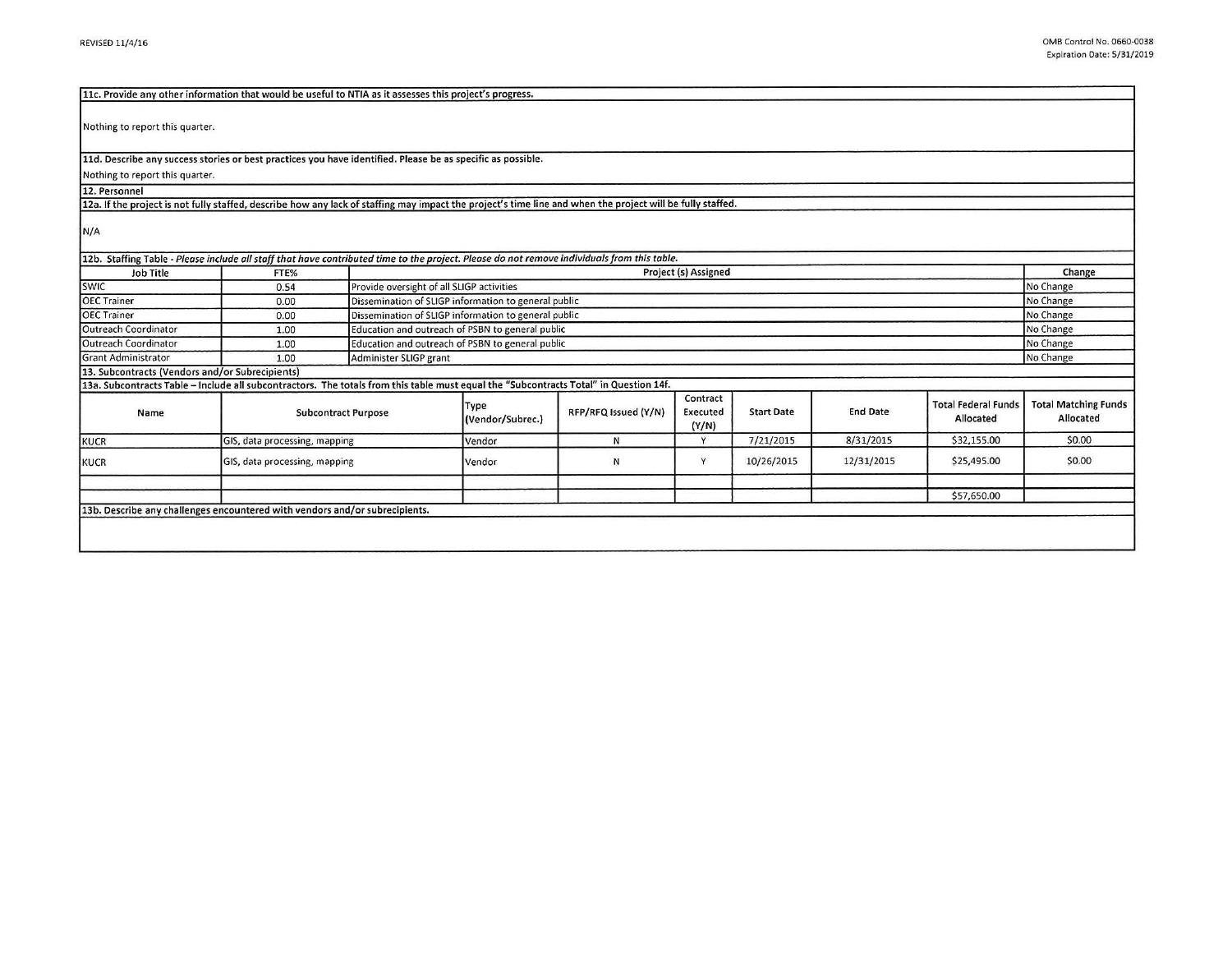| 11c. Provide any other information that would be useful to NTIA as it assesses this project's progress.                                                    |                                                                                                                                             |                                                               |                                                                   |                      |                               |                   |                 |                                         |                                          |  |
|------------------------------------------------------------------------------------------------------------------------------------------------------------|---------------------------------------------------------------------------------------------------------------------------------------------|---------------------------------------------------------------|-------------------------------------------------------------------|----------------------|-------------------------------|-------------------|-----------------|-----------------------------------------|------------------------------------------|--|
| Nothing to report this quarter.                                                                                                                            |                                                                                                                                             |                                                               |                                                                   |                      |                               |                   |                 |                                         |                                          |  |
| 11d. Describe any success stories or best practices you have identified. Please be as specific as possible.                                                |                                                                                                                                             |                                                               |                                                                   |                      |                               |                   |                 |                                         |                                          |  |
| Nothing to report this quarter.                                                                                                                            |                                                                                                                                             |                                                               |                                                                   |                      |                               |                   |                 |                                         |                                          |  |
| 12. Personnel                                                                                                                                              |                                                                                                                                             |                                                               |                                                                   |                      |                               |                   |                 |                                         |                                          |  |
| 12a. If the project is not fully staffed, describe how any lack of staffing may impact the project's time line and when the project will be fully staffed. |                                                                                                                                             |                                                               |                                                                   |                      |                               |                   |                 |                                         |                                          |  |
| N/A                                                                                                                                                        |                                                                                                                                             |                                                               |                                                                   |                      |                               |                   |                 |                                         |                                          |  |
|                                                                                                                                                            | 12b. Staffing Table - Please include all staff that have contributed time to the project. Please do not remove individuals from this table. |                                                               |                                                                   |                      |                               |                   |                 |                                         |                                          |  |
| Job Title<br><b>SWIC</b>                                                                                                                                   | FTE%                                                                                                                                        |                                                               | Project (s) Assigned                                              |                      |                               |                   |                 |                                         | Change<br>No Change                      |  |
| <b>OEC Trainer</b>                                                                                                                                         | 0.54                                                                                                                                        |                                                               | Provide oversight of all SLIGP activities                         |                      |                               |                   |                 |                                         |                                          |  |
|                                                                                                                                                            | 0.00                                                                                                                                        |                                                               | Dissemination of SLIGP information to general public<br>No Change |                      |                               |                   |                 |                                         |                                          |  |
| <b>OEC Trainer</b>                                                                                                                                         | 0.00                                                                                                                                        |                                                               | Dissemination of SLIGP information to general public<br>No Change |                      |                               |                   |                 |                                         |                                          |  |
| Outreach Coordinator                                                                                                                                       | 1.00                                                                                                                                        | Education and outreach of PSBN to general public<br>No Change |                                                                   |                      |                               |                   |                 |                                         |                                          |  |
| Outreach Coordinator                                                                                                                                       | 1.00                                                                                                                                        | Education and outreach of PSBN to general public<br>No Change |                                                                   |                      |                               |                   |                 |                                         |                                          |  |
| <b>Grant Administrator</b>                                                                                                                                 | 1.00                                                                                                                                        |                                                               | No Change<br>Administer SLIGP grant                               |                      |                               |                   |                 |                                         |                                          |  |
| 13. Subcontracts (Vendors and/or Subrecipients)                                                                                                            |                                                                                                                                             |                                                               |                                                                   |                      |                               |                   |                 |                                         |                                          |  |
| 13a. Subcontracts Table - Include all subcontractors. The totals from this table must equal the "Subcontracts Total" in Question 14f.                      |                                                                                                                                             |                                                               |                                                                   |                      |                               |                   |                 |                                         |                                          |  |
| Name                                                                                                                                                       | <b>Subcontract Purpose</b>                                                                                                                  |                                                               | Type<br>(Vendor/Subrec.)                                          | RFP/RFQ Issued (Y/N) | Contract<br>Executed<br>(Y/N) | <b>Start Date</b> | <b>End Date</b> | <b>Total Federal Funds</b><br>Allocated | <b>Total Matching Funds</b><br>Allocated |  |
| KUCR                                                                                                                                                       | GIS, data processing, mapping                                                                                                               |                                                               | Vendor                                                            | N                    | Y                             | 7/21/2015         | 8/31/2015       | \$32,155.00                             | \$0.00                                   |  |
| KUCR                                                                                                                                                       | GIS, data processing, mapping                                                                                                               |                                                               | Vendor                                                            | Ν                    | Y                             | 10/26/2015        | 12/31/2015      | \$25,495.00                             | \$0.00                                   |  |
|                                                                                                                                                            |                                                                                                                                             |                                                               |                                                                   |                      |                               |                   |                 |                                         |                                          |  |
|                                                                                                                                                            |                                                                                                                                             |                                                               |                                                                   |                      |                               |                   |                 | \$57,650.00                             |                                          |  |
| 13b. Describe any challenges encountered with vendors and/or subrecipients.                                                                                |                                                                                                                                             |                                                               |                                                                   |                      |                               |                   |                 |                                         |                                          |  |
|                                                                                                                                                            |                                                                                                                                             |                                                               |                                                                   |                      |                               |                   |                 |                                         |                                          |  |